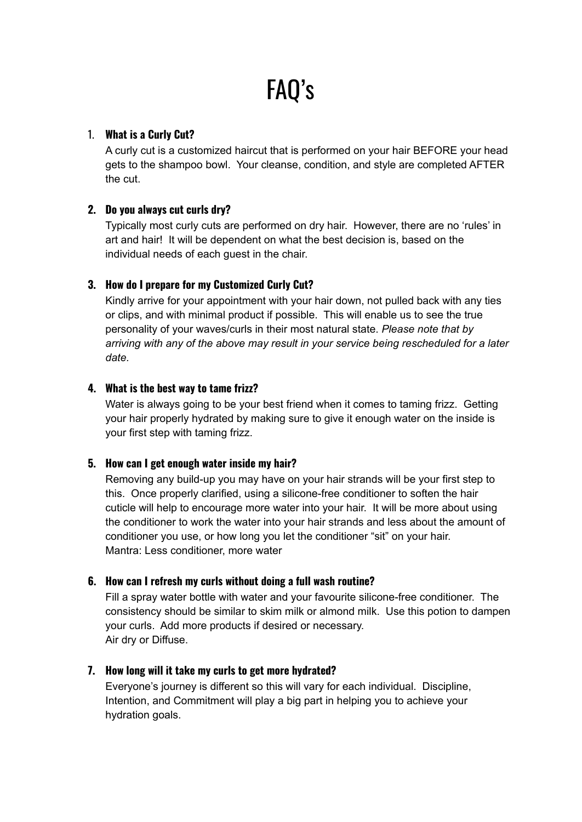# FAQ's

## 1. **What is a Curly Cut?**

A curly cut is a customized haircut that is performed on your hair BEFORE your head gets to the shampoo bowl. Your cleanse, condition, and style are completed AFTER the cut.

# **2. Do you always cut curls dry?**

Typically most curly cuts are performed on dry hair. However, there are no 'rules' in art and hair! It will be dependent on what the best decision is, based on the individual needs of each guest in the chair.

# **3. How do I prepare for my Customized Curly Cut?**

Kindly arrive for your appointment with your hair down, not pulled back with any ties or clips, and with minimal product if possible. This will enable us to see the true personality of your waves/curls in their most natural state. *Please note that by arriving with any of the above may result in your service being rescheduled for a later date.*

## **4. What is the best way to tame frizz?**

Water is always going to be your best friend when it comes to taming frizz. Getting your hair properly hydrated by making sure to give it enough water on the inside is your first step with taming frizz.

## **5. How can I get enough water inside my hair?**

Removing any build-up you may have on your hair strands will be your first step to this. Once properly clarified, using a silicone-free conditioner to soften the hair cuticle will help to encourage more water into your hair. It will be more about using the conditioner to work the water into your hair strands and less about the amount of conditioner you use, or how long you let the conditioner "sit" on your hair. Mantra: Less conditioner, more water

# **6. How can I refresh my curls without doing a full wash routine?**

Fill a spray water bottle with water and your favourite silicone-free conditioner. The consistency should be similar to skim milk or almond milk. Use this potion to dampen your curls. Add more products if desired or necessary. Air dry or Diffuse.

# **7. How long will it take my curls to get more hydrated?**

Everyone's journey is different so this will vary for each individual. Discipline, Intention, and Commitment will play a big part in helping you to achieve your hydration goals.